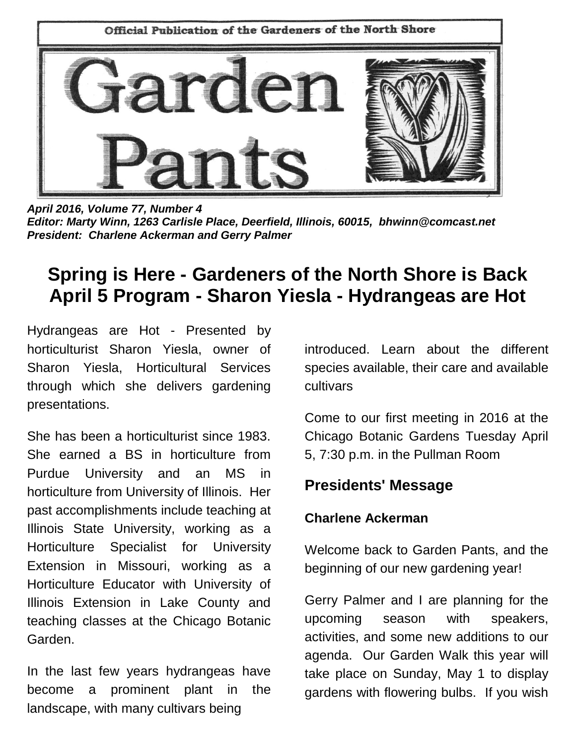

*April 2016, Volume 77, Number 4 Editor: Marty Winn, 1263 Carlisle Place, Deerfield, Illinois, 60015, bhwinn@comcast.net President: Charlene Ackerman and Gerry Palmer*

# **Spring is Here - Gardeners of the North Shore is Back April 5 Program - Sharon Yiesla - Hydrangeas are Hot**

Hydrangeas are Hot - Presented by horticulturist Sharon Yiesla, owner of Sharon Yiesla, Horticultural Services through which she delivers gardening presentations.

She has been a horticulturist since 1983. She earned a BS in horticulture from Purdue University and an MS in horticulture from University of Illinois. Her past accomplishments include teaching at Illinois State University, working as a Horticulture Specialist for University Extension in Missouri, working as a Horticulture Educator with University of Illinois Extension in Lake County and teaching classes at the Chicago Botanic Garden.

In the last few years hydrangeas have become a prominent plant in the landscape, with many cultivars being

introduced. Learn about the different species available, their care and available cultivars

Come to our first meeting in 2016 at the Chicago Botanic Gardens Tuesday April 5, 7:30 p.m. in the Pullman Room

### **Presidents' Message**

### **Charlene Ackerman**

Welcome back to Garden Pants, and the beginning of our new gardening year!

Gerry Palmer and I are planning for the upcoming season with speakers, activities, and some new additions to our agenda. Our Garden Walk this year will take place on Sunday, May 1 to display gardens with flowering bulbs. If you wish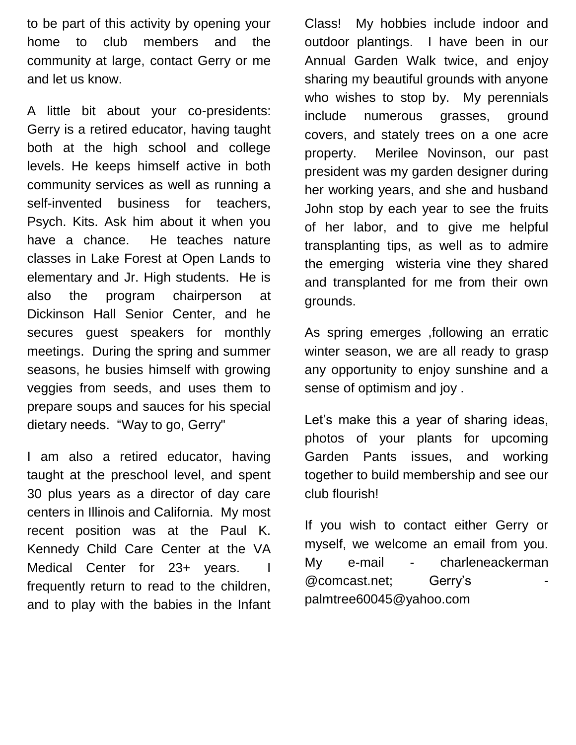to be part of this activity by opening your home to club members and the community at large, contact Gerry or me and let us know.

A little bit about your co-presidents: Gerry is a retired educator, having taught both at the high school and college levels. He keeps himself active in both community services as well as running a self-invented business for teachers, Psych. Kits. Ask him about it when you have a chance. He teaches nature classes in Lake Forest at Open Lands to elementary and Jr. High students. He is also the program chairperson at Dickinson Hall Senior Center, and he secures guest speakers for monthly meetings. During the spring and summer seasons, he busies himself with growing veggies from seeds, and uses them to prepare soups and sauces for his special dietary needs. "Way to go, Gerry"

I am also a retired educator, having taught at the preschool level, and spent 30 plus years as a director of day care centers in Illinois and California. My most recent position was at the Paul K. Kennedy Child Care Center at the VA Medical Center for 23+ years. I frequently return to read to the children, and to play with the babies in the Infant

Class! My hobbies include indoor and outdoor plantings. I have been in our Annual Garden Walk twice, and enjoy sharing my beautiful grounds with anyone who wishes to stop by. My perennials include numerous grasses, ground covers, and stately trees on a one acre property. Merilee Novinson, our past president was my garden designer during her working years, and she and husband John stop by each year to see the fruits of her labor, and to give me helpful transplanting tips, as well as to admire the emerging wisteria vine they shared and transplanted for me from their own grounds.

As spring emerges ,following an erratic winter season, we are all ready to grasp any opportunity to enjoy sunshine and a sense of optimism and joy .

Let's make this a year of sharing ideas, photos of your plants for upcoming Garden Pants issues, and working together to build membership and see our club flourish!

If you wish to contact either Gerry or myself, we welcome an email from you. My e-mail - charleneackerman [@comcast.net;](mailto:charleneackerman@comcast.net) Gerry's palmtree60045@yahoo.com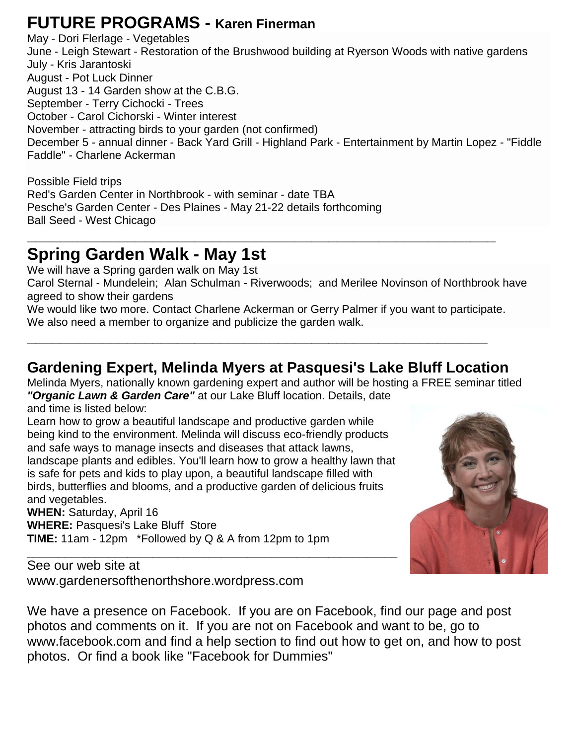## **FUTURE PROGRAMS - Karen Finerman**

May - Dori Flerlage - Vegetables June - Leigh Stewart - Restoration of the Brushwood building at Ryerson Woods with native gardens July - Kris Jarantoski August - Pot Luck Dinner August 13 - 14 Garden show at the C.B.G. September - Terry Cichocki - Trees October - Carol Cichorski - Winter interest November - attracting birds to your garden (not confirmed) December 5 - annual dinner - Back Yard Grill - Highland Park - Entertainment by Martin Lopez - "Fiddle Faddle" - Charlene Ackerman

Possible Field trips Red's Garden Center in Northbrook - with seminar - date TBA Pesche's Garden Center - Des Plaines - May 21-22 details forthcoming Ball Seed - West Chicago

## **Spring Garden Walk - May 1st**

We will have a Spring garden walk on May 1st Carol Sternal - Mundelein; Alan Schulman - Riverwoods; and Merilee Novinson of Northbrook have agreed to show their gardens

We would like two more. Contact Charlene Ackerman or Gerry Palmer if you want to participate. We also need a member to organize and publicize the garden walk.

**\_\_\_\_\_\_\_\_\_\_\_\_\_\_\_\_\_\_\_\_\_\_\_\_\_\_\_\_\_\_\_\_\_\_\_\_\_\_\_\_\_\_\_\_\_\_\_\_\_\_\_\_\_\_\_**

**\_\_\_\_\_\_\_\_\_\_\_\_\_\_\_\_\_\_\_\_\_\_\_\_\_\_\_\_\_\_\_\_\_\_\_\_\_\_\_\_\_\_\_\_\_\_\_\_\_\_\_\_\_\_\_\_**

### **Gardening Expert, Melinda Myers at Pasquesi's Lake Bluff Location**

Melinda Myers, nationally known gardening expert and author will be hosting a FREE seminar titled *"Organic Lawn & Garden Care"* at our Lake Bluff location. Details, date and time is listed below:

Learn how to grow a beautiful landscape and productive garden while being kind to the environment. Melinda will discuss eco-friendly products and safe ways to manage insects and diseases that attack lawns, landscape plants and edibles. You'll learn how to grow a healthy lawn that is safe for pets and kids to play upon, a beautiful landscape filled with birds, butterflies and blooms, and a productive garden of delicious fruits and vegetables.

\_\_\_\_\_\_\_\_\_\_\_\_\_\_\_\_\_\_\_\_\_\_\_\_\_\_\_\_\_\_\_\_\_\_\_\_\_\_\_\_\_\_\_\_\_\_\_\_\_\_\_\_\_\_\_\_\_\_\_

**WHEN:** Saturday, April 16 **WHERE:** Pasquesi's Lake Bluff Store **TIME:** 11am - 12pm \*Followed by Q & A from 12pm to 1pm

See our web site at www.gardenersofthenorthshore.wordpress.com



We have a presence on Facebook. If you are on Facebook, find our page and post photos and comments on it. If you are not on Facebook and want to be, go to www.facebook.com and find a help section to find out how to get on, and how to post photos. Or find a book like "Facebook for Dummies"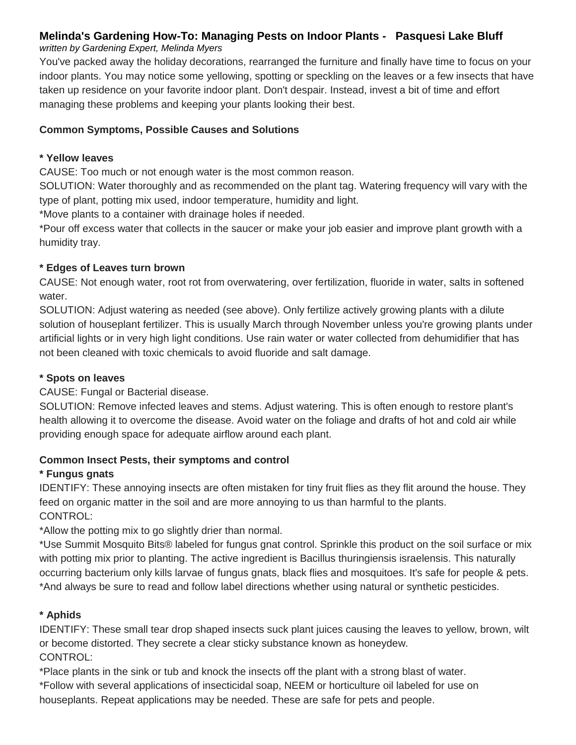### **Melinda's Gardening How-To: Managing Pests on Indoor Plants - Pasquesi Lake Bluff**

#### *written by Gardening Expert, Melinda Myers*

You've packed away the holiday decorations, rearranged the furniture and finally have time to focus on your indoor plants. You may notice some yellowing, spotting or speckling on the leaves or a few insects that have taken up residence on your favorite indoor plant. Don't despair. Instead, invest a bit of time and effort managing these problems and keeping your plants looking their best.

#### **Common Symptoms, Possible Causes and Solutions**

#### **\* Yellow leaves**

CAUSE: Too much or not enough water is the most common reason.

SOLUTION: Water thoroughly and as recommended on the plant tag. Watering frequency will vary with the type of plant, potting mix used, indoor temperature, humidity and light.

\*Move plants to a container with drainage holes if needed.

\*Pour off excess water that collects in the saucer or make your job easier and improve plant growth with a humidity tray.

#### **\* Edges of Leaves turn brown**

CAUSE: Not enough water, root rot from overwatering, over fertilization, fluoride in water, salts in softened water.

SOLUTION: Adjust watering as needed (see above). Only fertilize actively growing plants with a dilute solution of houseplant fertilizer. This is usually March through November unless you're growing plants under artificial lights or in very high light conditions. Use rain water or water collected from dehumidifier that has not been cleaned with toxic chemicals to avoid fluoride and salt damage.

#### **\* Spots on leaves**

CAUSE: Fungal or Bacterial disease.

SOLUTION: Remove infected leaves and stems. Adjust watering. This is often enough to restore plant's health allowing it to overcome the disease. Avoid water on the foliage and drafts of hot and cold air while providing enough space for adequate airflow around each plant.

#### **Common Insect Pests, their symptoms and control**

#### **\* Fungus gnats**

IDENTIFY: These annoying insects are often mistaken for tiny fruit flies as they flit around the house. They feed on organic matter in the soil and are more annoying to us than harmful to the plants. CONTROL:

\*Allow the potting mix to go slightly drier than normal.

\*Use Summit Mosquito Bits® labeled for fungus gnat control. Sprinkle this product on the soil surface or mix with potting mix prior to planting. The active ingredient is Bacillus thuringiensis israelensis. This naturally occurring bacterium only kills larvae of fungus gnats, black flies and mosquitoes. It's safe for people & pets. \*And always be sure to read and follow label directions whether using natural or synthetic pesticides.

#### **\* Aphids**

IDENTIFY: These small tear drop shaped insects suck plant juices causing the leaves to yellow, brown, wilt or become distorted. They secrete a clear sticky substance known as honeydew. CONTROL:

\*Place plants in the sink or tub and knock the insects off the plant with a strong blast of water.

\*Follow with several applications of insecticidal soap, NEEM or horticulture oil labeled for use on

houseplants. Repeat applications may be needed. These are safe for pets and people.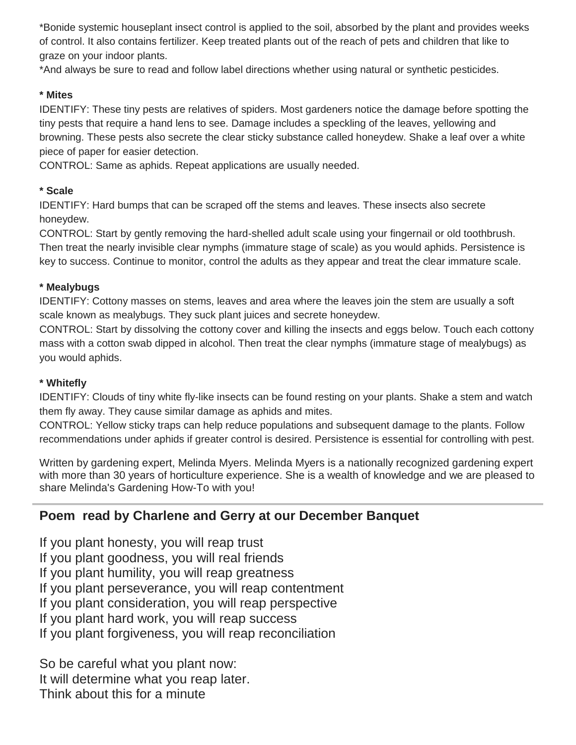\*Bonide systemic houseplant insect control is applied to the soil, absorbed by the plant and provides weeks of control. It also contains fertilizer. Keep treated plants out of the reach of pets and children that like to graze on your indoor plants.

\*And always be sure to read and follow label directions whether using natural or synthetic pesticides.

#### **\* Mites**

IDENTIFY: These tiny pests are relatives of spiders. Most gardeners notice the damage before spotting the tiny pests that require a hand lens to see. Damage includes a speckling of the leaves, yellowing and browning. These pests also secrete the clear sticky substance called honeydew. Shake a leaf over a white piece of paper for easier detection.

CONTROL: Same as aphids. Repeat applications are usually needed.

#### **\* Scale**

IDENTIFY: Hard bumps that can be scraped off the stems and leaves. These insects also secrete honeydew.

CONTROL: Start by gently removing the hard-shelled adult scale using your fingernail or old toothbrush. Then treat the nearly invisible clear nymphs (immature stage of scale) as you would aphids. Persistence is key to success. Continue to monitor, control the adults as they appear and treat the clear immature scale.

#### **\* Mealybugs**

IDENTIFY: Cottony masses on stems, leaves and area where the leaves join the stem are usually a soft scale known as mealybugs. They suck plant juices and secrete honeydew.

CONTROL: Start by dissolving the cottony cover and killing the insects and eggs below. Touch each cottony mass with a cotton swab dipped in alcohol. Then treat the clear nymphs (immature stage of mealybugs) as you would aphids.

#### **\* Whitefly**

IDENTIFY: Clouds of tiny white fly-like insects can be found resting on your plants. Shake a stem and watch them fly away. They cause similar damage as aphids and mites.

CONTROL: Yellow sticky traps can help reduce populations and subsequent damage to the plants. Follow recommendations under aphids if greater control is desired. Persistence is essential for controlling with pest.

Written by gardening expert, Melinda Myers. Melinda Myers is a nationally recognized gardening expert with more than 30 years of horticulture experience. She is a wealth of knowledge and we are pleased to share Melinda's Gardening How-To with you!

### **Poem read by Charlene and Gerry at our December Banquet**

If you plant honesty, you will reap trust If you plant goodness, you will real friends If you plant humility, you will reap greatness If you plant perseverance, you will reap contentment If you plant consideration, you will reap perspective If you plant hard work, you will reap success If you plant forgiveness, you will reap reconciliation

So be careful what you plant now: It will determine what you reap later. Think about this for a minute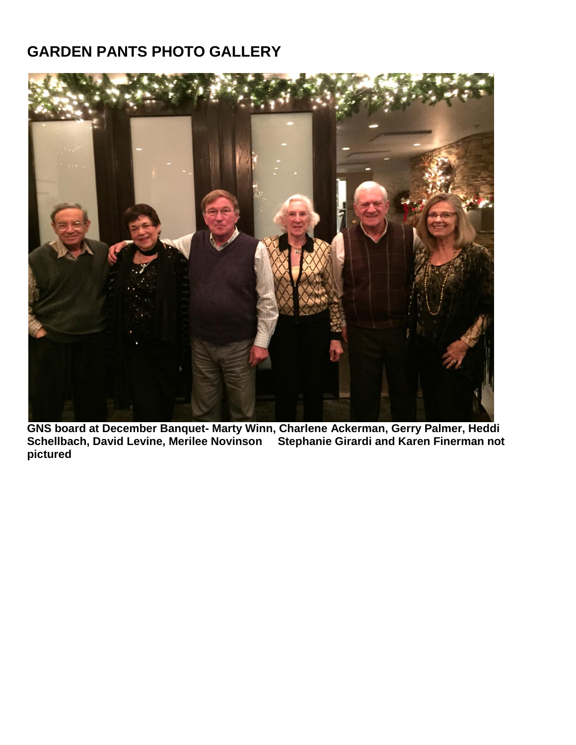## **GARDEN PANTS PHOTO GALLERY**



**GNS board at December Banquet- Marty Winn, Charlene Ackerman, Gerry Palmer, Heddi Schellbach, David Levine, Merilee Novinson Stephanie Girardi and Karen Finerman not pictured**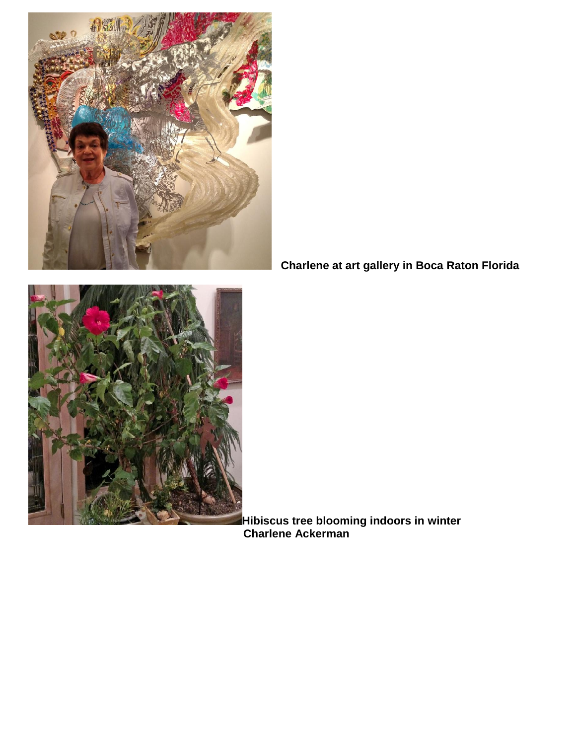

 **Charlene at art gallery in Boca Raton Florida**



**Hibiscus tree blooming indoors in winter** *Charlene Ackerman* **Charlene Ackerman**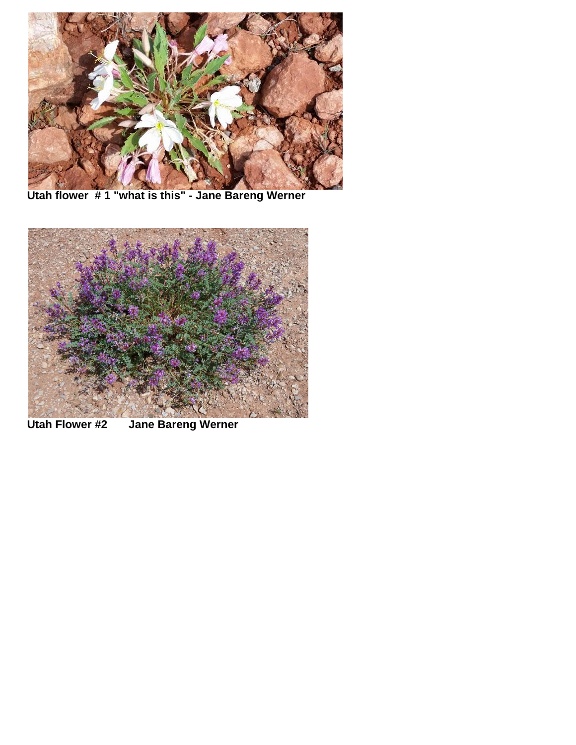

**Utah flower # 1 "what is this" - Jane Bareng Werner**



**Utah Flower #2 Jane Bareng Werner**